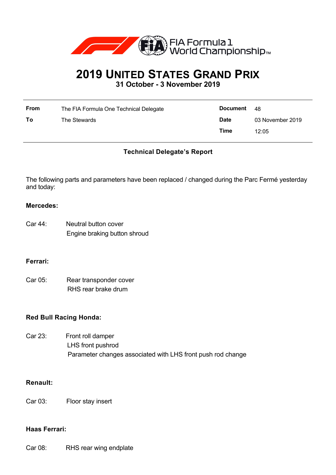

# **2019 UNITED STATES GRAND PRIX**

**31 October - 3 November 2019**

| From | The FIA Formula One Technical Delegate | Document    | -48              |
|------|----------------------------------------|-------------|------------------|
| To   | The Stewards                           | <b>Date</b> | 03 November 2019 |
|      |                                        | Time        | 12:05            |

# **Technical Delegate's Report**

The following parts and parameters have been replaced / changed during the Parc Fermé yesterday and today:

#### **Mercedes:**

| Car 44: | Neutral button cover         |
|---------|------------------------------|
|         | Engine braking button shroud |

## **Ferrari:**

Car 05: Rear transponder cover RHS rear brake drum

## **Red Bull Racing Honda:**

Car 23: Front roll damper LHS front pushrod Parameter changes associated with LHS front push rod change

## **Renault:**

Car 03: Floor stay insert

#### **Haas Ferrari:**

Car 08: RHS rear wing endplate